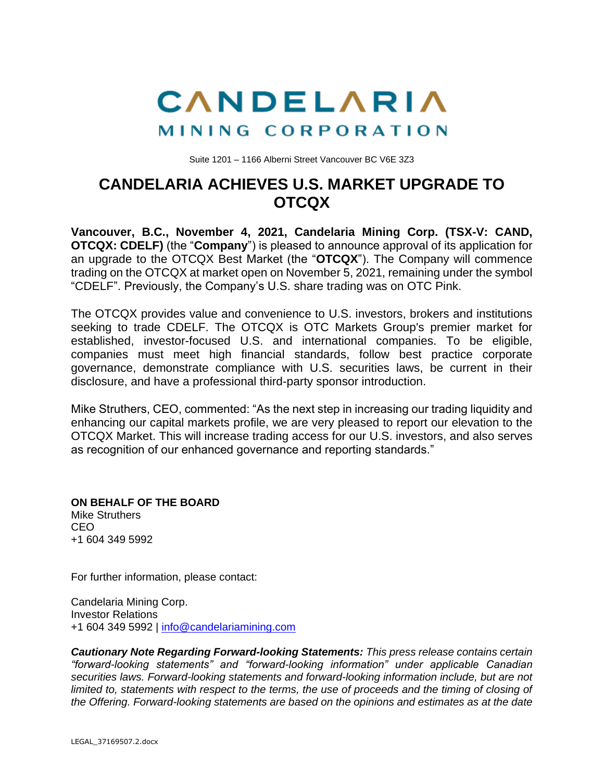

Suite 1201 – 1166 Alberni Street Vancouver BC V6E 3Z3

## **CANDELARIA ACHIEVES U.S. MARKET UPGRADE TO OTCQX**

**Vancouver, B.C., November 4, 2021, Candelaria Mining Corp. (TSX-V: CAND, OTCQX: CDELF)** (the "**Company**") is pleased to announce approval of its application for an upgrade to the OTCQX Best Market (the "**OTCQX**"). The Company will commence trading on the OTCQX at market open on November 5, 2021, remaining under the symbol "CDELF". Previously, the Company's U.S. share trading was on OTC Pink.

The OTCQX provides value and convenience to U.S. investors, brokers and institutions seeking to trade CDELF. The OTCQX is OTC Markets Group's premier market for established, investor-focused U.S. and international companies. To be eligible, companies must meet high financial standards, follow best practice corporate governance, demonstrate compliance with U.S. securities laws, be current in their disclosure, and have a professional third-party sponsor introduction.

Mike Struthers, CEO, commented: "As the next step in increasing our trading liquidity and enhancing our capital markets profile, we are very pleased to report our elevation to the OTCQX Market. This will increase trading access for our U.S. investors, and also serves as recognition of our enhanced governance and reporting standards."

**ON BEHALF OF THE BOARD** Mike Struthers CEO +1 604 349 5992

For further information, please contact:

Candelaria Mining Corp. Investor Relations +1 604 349 5992 | [info@candelariamining.com](mailto:info@candelariamining.com)

*Cautionary Note Regarding Forward-looking Statements: This press release contains certain "forward-looking statements" and "forward-looking information" under applicable Canadian securities laws. Forward-looking statements and forward-looking information include, but are not limited to, statements with respect to the terms, the use of proceeds and the timing of closing of the Offering. Forward-looking statements are based on the opinions and estimates as at the date*